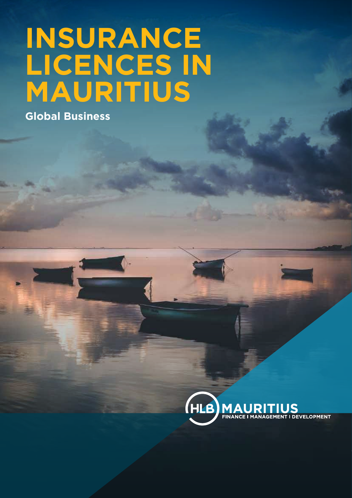# **INSURANCE LICENCES IN MAURITIUS**

**Global Business**

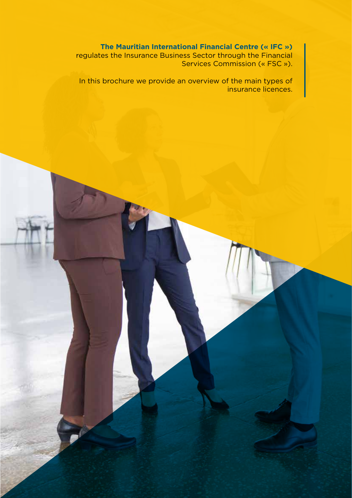**The Mauritian International Financial Centre (« IFC »)** regulates the Insurance Business Sector through the Financial Services Commission (« FSC »).

In this brochure we provide an overview of the main types of insurance licences.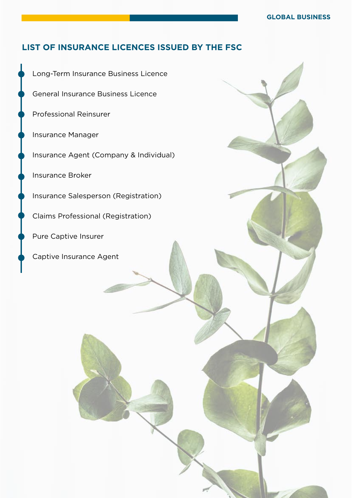## **LIST OF INSURANCE LICENCES ISSUED BY THE FSC**

Long-Term Insurance Business Licence General Insurance Business Licence Professional Reinsurer Insurance Manager Insurance Agent (Company & Individual) Insurance Broker Insurance Salesperson (Registration) Claims Professional (Registration) Pure Captive Insurer Captive Insurance Agent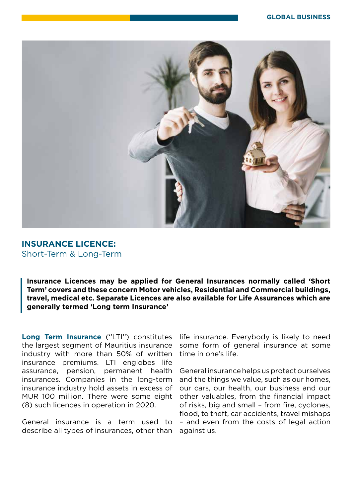

### **INSURANCE LICENCE:** Short-Term & Long-Term

**Insurance Licences may be applied for General Insurances normally called 'Short Term' covers and these concern Motor vehicles, Residential and Commercial buildings, travel, medical etc. Separate Licences are also available for Life Assurances which are generally termed 'Long term Insurance'**

Long Term Insurance ("LTI") constitutes the largest segment of Mauritius insurance industry with more than 50% of written insurance premiums. LTI englobes life assurance, pension, permanent health insurances. Companies in the long-term insurance industry hold assets in excess of MUR 100 million. There were some eight (8) such licences in operation in 2020.

General insurance is a term used to describe all types of insurances, other than

life insurance. Everybody is likely to need some form of general insurance at some time in one's life.

General insurance helps us protect ourselves and the things we value, such as our homes, our cars, our health, our business and our other valuables, from the financial impact of risks, big and small – from fire, cyclones, flood, to theft, car accidents, travel mishaps – and even from the costs of legal action against us.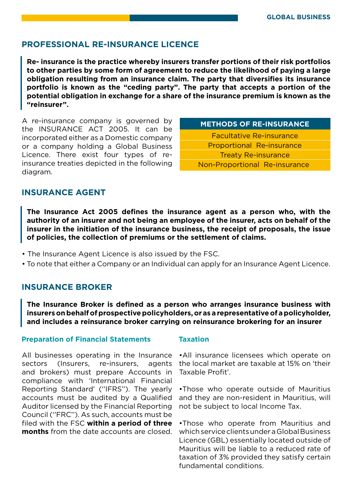### **PROFESSIONAL RE-INSURANCE LICENCE**

**Re- insurance is the practice whereby insurers transfer portions of their risk portfolios to other parties by some form of agreement to reduce the likelihood of paying a large obligation resulting from an insurance claim. The party that diversifies its insurance portfolio is known as the "ceding party". The party that accepts a portion of the potential obligation in exchange for a share of the insurance premium is known as the "reinsurer".**

A re-insurance company is governed by the INSURANCE ACT 2005. It can be incorporated either as a Domestic company or a company holding a Global Business Licence. There exist four types of reinsurance treaties depicted in the following diagram.

**METHODS OF RE-INSURANCE**

Facultative Re-insurance Proportional Re-insurance Treaty Re-insurance Non-Proportional Re-insurance

# **INSURANCE AGENT**

**The Insurance Act 2005 defines the insurance agent as a person who, with the authority of an insurer and not being an employee of the insurer, acts on behalf of the insurer in the initiation of the insurance business, the receipt of proposals, the issue of policies, the collection of premiums or the settlement of claims.**

- The Insurance Agent Licence is also issued by the FSC.
- To note that either a Company or an Individual can apply for an Insurance Agent Licence.

### **INSURANCE BROKER**

**The Insurance Broker is defined as a person who arranges insurance business with insurers on behalf of prospective policyholders, or as a representative of a policyholder, and includes a reinsurance broker carrying on reinsurance brokering for an insurer**

### **Preparation of Financial Statements Taxation**

All businesses operating in the Insurance sectors (Insurers, re-insurers, agents and brokers) must prepare Accounts in compliance with 'International Financial Reporting Standard' (''IFRS''). The yearly accounts must be audited by a Qualified Auditor licensed by the Financial Reporting Council (''FRC''). As such, accounts must be filed with the FSC **within a period of three months** from the date accounts are closed.

•All insurance licensees which operate on the local market are taxable at 15% on 'their Taxable Profit'.

•Those who operate outside of Mauritius and they are non-resident in Mauritius, will not be subject to local Income Tax.

•Those who operate from Mauritius and which service clients under a Global Business Licence (GBL) essentially located outside of Mauritius will be liable to a reduced rate of taxation of 3% provided they satisfy certain fundamental conditions.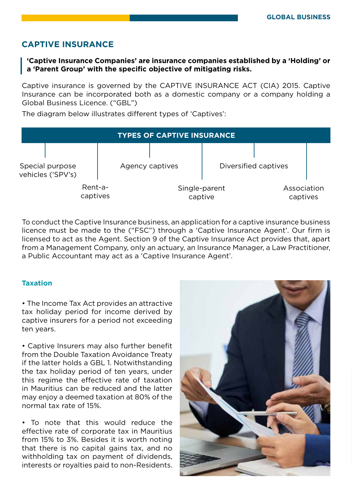# **CAPTIVE INSURANCE**

### **'Captive Insurance Companies' are insurance companies established by a 'Holding' or a 'Parent Group' with the specific objective of mitigating risks.**

Captive insurance is governed by the CAPTIVE INSURANCE ACT (CIA) 2015. Captive Insurance can be incorporated both as a domestic company or a company holding a Global Business Licence. ("GBL")

The diagram below illustrates different types of 'Captives':

| <b>TYPES OF CAPTIVE INSURANCE</b>    |                     |  |                          |  |                         |  |
|--------------------------------------|---------------------|--|--------------------------|--|-------------------------|--|
| Special purpose<br>vehicles ('SPV's) |                     |  | Agency captives          |  | Diversified captives    |  |
|                                      | Rent-a-<br>captives |  | Single-parent<br>captive |  | Association<br>captives |  |

To conduct the Captive Insurance business, an application for a captive insurance business licence must be made to the ("FSC") through a 'Captive Insurance Agent'. Our firm is licensed to act as the Agent. Section 9 of the Captive Insurance Act provides that, apart from a Management Company, only an actuary, an Insurance Manager, a Law Practitioner, a Public Accountant may act as a 'Captive Insurance Agent'.

### **Taxation**

• The Income Tax Act provides an attractive tax holiday period for income derived by captive insurers for a period not exceeding ten years.

• Captive Insurers may also further benefit from the Double Taxation Avoidance Treaty if the latter holds a GBL 1. Notwithstanding the tax holiday period of ten years, under this regime the effective rate of taxation in Mauritius can be reduced and the latter may enjoy a deemed taxation at 80% of the normal tax rate of 15%.

• To note that this would reduce the effective rate of corporate tax in Mauritius from 15% to 3%. Besides it is worth noting that there is no capital gains tax, and no withholding tax on payment of dividends, interests or royalties paid to non-Residents.